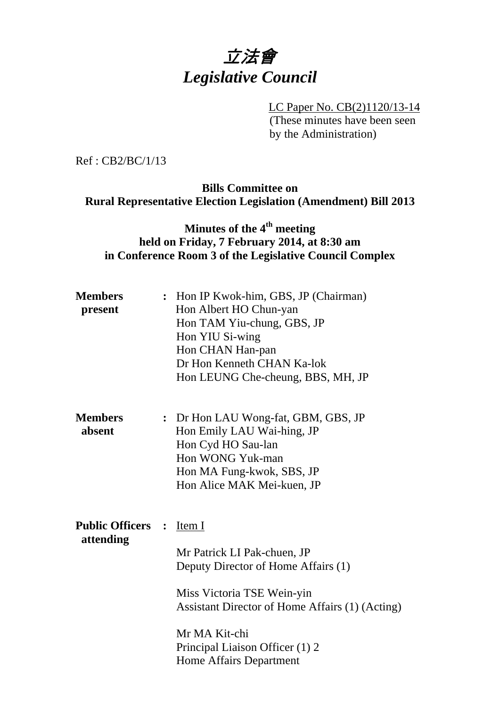# 立法會 *Legislative Council*

 LC Paper No. CB(2)1120/13-14 (These minutes have been seen by the Administration)

Ref : CB2/BC/1/13

## **Bills Committee on Rural Representative Election Legislation (Amendment) Bill 2013**

## **Minutes of the 4th meeting held on Friday, 7 February 2014, at 8:30 am in Conference Room 3 of the Legislative Council Complex**

| <b>Members</b><br>present                    | : Hon IP Kwok-him, GBS, JP (Chairman)<br>Hon Albert HO Chun-yan<br>Hon TAM Yiu-chung, GBS, JP<br>Hon YIU Si-wing<br>Hon CHAN Han-pan<br>Dr Hon Kenneth CHAN Ka-lok<br>Hon LEUNG Che-cheung, BBS, MH, JP                                   |
|----------------------------------------------|-------------------------------------------------------------------------------------------------------------------------------------------------------------------------------------------------------------------------------------------|
| <b>Members</b><br>absent                     | : Dr Hon LAU Wong-fat, GBM, GBS, JP<br>Hon Emily LAU Wai-hing, JP<br>Hon Cyd HO Sau-lan<br>Hon WONG Yuk-man<br>Hon MA Fung-kwok, SBS, JP<br>Hon Alice MAK Mei-kuen, JP                                                                    |
| <b>Public Officers : Item I</b><br>attending | Mr Patrick LI Pak-chuen, JP<br>Deputy Director of Home Affairs (1)<br>Miss Victoria TSE Wein-yin<br>Assistant Director of Home Affairs (1) (Acting)<br>Mr MA Kit-chi<br>Principal Liaison Officer (1) 2<br><b>Home Affairs Department</b> |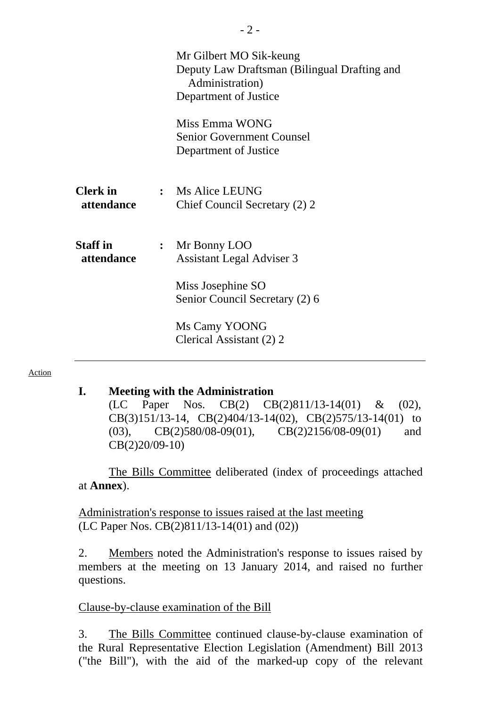|                               |                | Mr Gilbert MO Sik-keung<br>Deputy Law Draftsman (Bilingual Drafting and<br>Administration)<br>Department of Justice<br>Miss Emma WONG<br><b>Senior Government Counsel</b><br>Department of Justice |
|-------------------------------|----------------|----------------------------------------------------------------------------------------------------------------------------------------------------------------------------------------------------|
| <b>Clerk</b> in<br>attendance |                | : Ms Alice LEUNG<br>Chief Council Secretary (2) 2                                                                                                                                                  |
| <b>Staff</b> in<br>attendance | $\ddot{\cdot}$ | Mr Bonny LOO<br><b>Assistant Legal Adviser 3</b><br>Miss Josephine SO<br>Senior Council Secretary (2) 6<br>Ms Camy YOONG<br>Clerical Assistant (2) 2                                               |

#### Action

#### **I. Meeting with the Administration**

(LC Paper Nos. CB(2) CB(2)811/13-14(01) & (02), CB(3)151/13-14, CB(2)404/13-14(02), CB(2)575/13-14(01) to (03), CB(2)580/08-09(01), CB(2)2156/08-09(01) and CB(2)20/09-10)

 The Bills Committee deliberated (index of proceedings attached at **Annex**).

Administration's response to issues raised at the last meeting (LC Paper Nos. CB(2)811/13-14(01) and (02))

2. Members noted the Administration's response to issues raised by members at the meeting on 13 January 2014, and raised no further questions.

### Clause-by-clause examination of the Bill

3. The Bills Committee continued clause-by-clause examination of the Rural Representative Election Legislation (Amendment) Bill 2013 ("the Bill"), with the aid of the marked-up copy of the relevant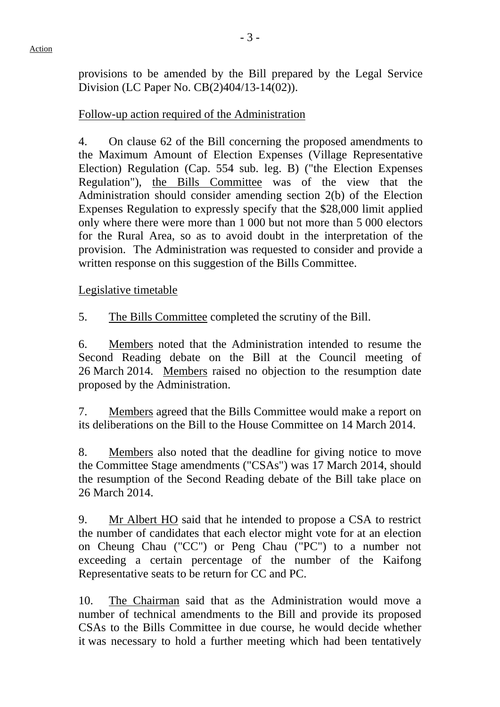provisions to be amended by the Bill prepared by the Legal Service Division (LC Paper No. CB(2)404/13-14(02)).

## Follow-up action required of the Administration

4. On clause 62 of the Bill concerning the proposed amendments to the Maximum Amount of Election Expenses (Village Representative Election) Regulation (Cap. 554 sub. leg. B) ("the Election Expenses Regulation"), the Bills Committee was of the view that the Administration should consider amending section 2(b) of the Election Expenses Regulation to expressly specify that the \$28,000 limit applied only where there were more than 1 000 but not more than 5 000 electors for the Rural Area, so as to avoid doubt in the interpretation of the provision. The Administration was requested to consider and provide a written response on this suggestion of the Bills Committee.

Legislative timetable

5. The Bills Committee completed the scrutiny of the Bill.

6. Members noted that the Administration intended to resume the Second Reading debate on the Bill at the Council meeting of 26 March 2014. Members raised no objection to the resumption date proposed by the Administration.

7. Members agreed that the Bills Committee would make a report on its deliberations on the Bill to the House Committee on 14 March 2014.

8. Members also noted that the deadline for giving notice to move the Committee Stage amendments ("CSAs") was 17 March 2014, should the resumption of the Second Reading debate of the Bill take place on 26 March 2014.

9. Mr Albert HO said that he intended to propose a CSA to restrict the number of candidates that each elector might vote for at an election on Cheung Chau ("CC") or Peng Chau ("PC") to a number not exceeding a certain percentage of the number of the Kaifong Representative seats to be return for CC and PC.

10. The Chairman said that as the Administration would move a number of technical amendments to the Bill and provide its proposed CSAs to the Bills Committee in due course, he would decide whether it was necessary to hold a further meeting which had been tentatively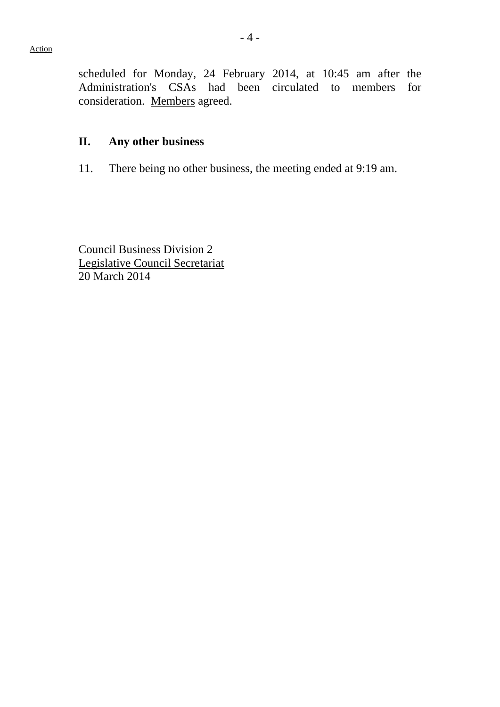scheduled for Monday, 24 February 2014, at 10:45 am after the Administration's CSAs had been circulated to members for consideration. Members agreed.

## **II. Any other business**

11. There being no other business, the meeting ended at 9:19 am.

Council Business Division 2 Legislative Council Secretariat 20 March 2014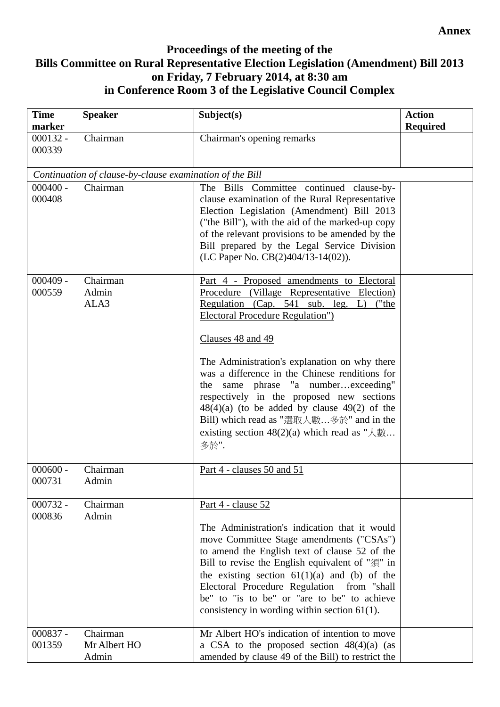#### **Annex**

## **Proceedings of the meeting of the Bills Committee on Rural Representative Election Legislation (Amendment) Bill 2013 on Friday, 7 February 2014, at 8:30 am in Conference Room 3 of the Legislative Council Complex**

| <b>Time</b><br>marker | <b>Speaker</b>                                           | Subject(s)                                                                                                                                                                                                                                                                                                                                                                                                            | <b>Action</b><br><b>Required</b> |
|-----------------------|----------------------------------------------------------|-----------------------------------------------------------------------------------------------------------------------------------------------------------------------------------------------------------------------------------------------------------------------------------------------------------------------------------------------------------------------------------------------------------------------|----------------------------------|
| $000132 -$<br>000339  | Chairman                                                 | Chairman's opening remarks                                                                                                                                                                                                                                                                                                                                                                                            |                                  |
|                       | Continuation of clause-by-clause examination of the Bill |                                                                                                                                                                                                                                                                                                                                                                                                                       |                                  |
| $000400 -$<br>000408  | Chairman                                                 | The Bills Committee continued clause-by-<br>clause examination of the Rural Representative<br>Election Legislation (Amendment) Bill 2013<br>("the Bill"), with the aid of the marked-up copy<br>of the relevant provisions to be amended by the<br>Bill prepared by the Legal Service Division<br>(LC Paper No. CB(2)404/13-14(02)).                                                                                  |                                  |
| $000409 -$<br>000559  | Chairman<br>Admin<br>ALA3                                | Part 4 - Proposed amendments to Electoral<br>Procedure (Village Representative Election)<br>Regulation (Cap. 541 sub. leg. L)<br>("the<br><b>Electoral Procedure Regulation"</b> )<br>Clauses 48 and 49                                                                                                                                                                                                               |                                  |
|                       |                                                          | The Administration's explanation on why there<br>was a difference in the Chinese renditions for<br>same phrase "a numberexceeding"<br>the<br>respectively in the proposed new sections<br>$48(4)(a)$ (to be added by clause $49(2)$ of the<br>Bill) which read as "選取人數多於" and in the<br>多於".                                                                                                                         |                                  |
| $000600 -$<br>000731  | Chairman<br>Admin                                        | Part 4 - clauses 50 and 51                                                                                                                                                                                                                                                                                                                                                                                            |                                  |
| $000732 -$<br>000836  | Chairman<br>Admin                                        | Part 4 - clause 52<br>The Administration's indication that it would<br>move Committee Stage amendments ("CSAs")<br>to amend the English text of clause 52 of the<br>Bill to revise the English equivalent of "須" in<br>the existing section $61(1)(a)$ and (b) of the<br>Electoral Procedure Regulation from "shall<br>be" to "is to be" or "are to be" to achieve<br>consistency in wording within section $61(1)$ . |                                  |
| $000837 -$<br>001359  | Chairman<br>Mr Albert HO<br>Admin                        | Mr Albert HO's indication of intention to move<br>a CSA to the proposed section $48(4)(a)$ (as<br>amended by clause 49 of the Bill) to restrict the                                                                                                                                                                                                                                                                   |                                  |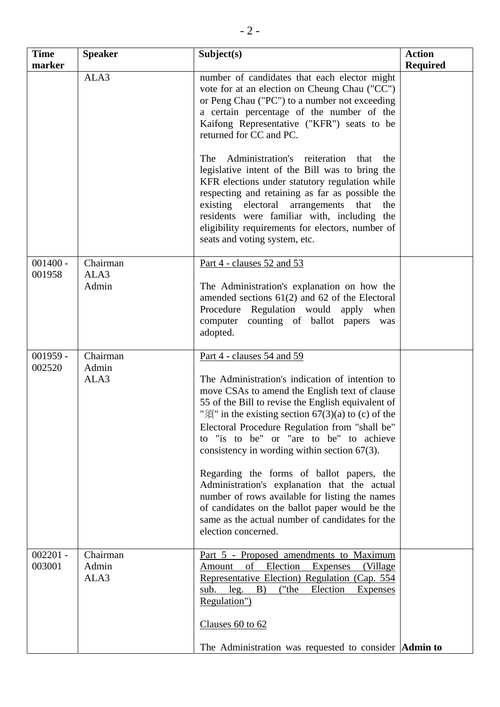| <b>Time</b><br>marker | <b>Speaker</b>            | Subject(s)                                                                                                                                                                                                                                                                                                                                                                                                                                                                                                                                                                                                                                                                          | <b>Action</b><br><b>Required</b> |
|-----------------------|---------------------------|-------------------------------------------------------------------------------------------------------------------------------------------------------------------------------------------------------------------------------------------------------------------------------------------------------------------------------------------------------------------------------------------------------------------------------------------------------------------------------------------------------------------------------------------------------------------------------------------------------------------------------------------------------------------------------------|----------------------------------|
|                       | ALA3                      | number of candidates that each elector might<br>vote for at an election on Cheung Chau ("CC")<br>or Peng Chau ("PC") to a number not exceeding<br>a certain percentage of the number of the<br>Kaifong Representative ("KFR") seats to be<br>returned for CC and PC.<br>Administration's reiteration<br>The<br>that<br>the<br>legislative intent of the Bill was to bring the<br>KFR elections under statutory regulation while<br>respecting and retaining as far as possible the<br>existing electoral arrangements that<br>the<br>residents were familiar with, including the<br>eligibility requirements for electors, number of<br>seats and voting system, etc.               |                                  |
| $001400 -$            | Chairman                  | Part 4 - clauses 52 and 53                                                                                                                                                                                                                                                                                                                                                                                                                                                                                                                                                                                                                                                          |                                  |
| 001958                | ALA3<br>Admin             | The Administration's explanation on how the<br>amended sections $61(2)$ and $62$ of the Electoral<br>Procedure Regulation would apply when<br>computer counting of ballot papers<br>was<br>adopted.                                                                                                                                                                                                                                                                                                                                                                                                                                                                                 |                                  |
| $001959 -$<br>002520  | Chairman<br>Admin<br>ALA3 | Part 4 - clauses 54 and 59<br>The Administration's indication of intention to<br>move CSAs to amend the English text of clause<br>55 of the Bill to revise the English equivalent of<br>" $\mathcal{F}$ " in the existing section 67(3)(a) to (c) of the<br>Electoral Procedure Regulation from "shall be"<br>to "is to be" or "are to be" to achieve<br>consistency in wording within section $67(3)$ .<br>Regarding the forms of ballot papers, the<br>Administration's explanation that the actual<br>number of rows available for listing the names<br>of candidates on the ballot paper would be the<br>same as the actual number of candidates for the<br>election concerned. |                                  |
| $002201 -$<br>003001  | Chairman<br>Admin<br>ALA3 | <u>Part 5 - Proposed amendments to Maximum</u><br>of Election<br>(Village)<br>Amount<br><b>Expenses</b><br>Representative Election) Regulation (Cap. 554<br>Election<br>B)<br>("the<br>sub.<br>leg.<br><b>Expenses</b><br>Regulation")<br>Clauses 60 to 62                                                                                                                                                                                                                                                                                                                                                                                                                          |                                  |
|                       |                           | The Administration was requested to consider <b>Admin to</b>                                                                                                                                                                                                                                                                                                                                                                                                                                                                                                                                                                                                                        |                                  |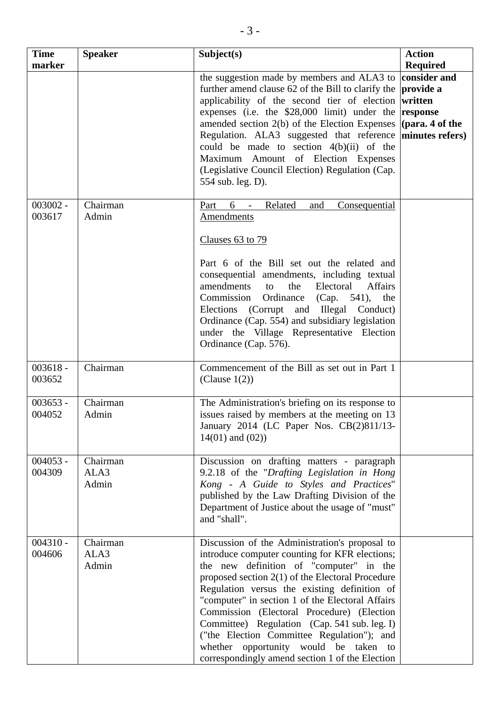| <b>Time</b><br>marker | <b>Speaker</b>            | Subject(s)                                                                                                                                                                                                                                                                                                                                                                                                                                                                                                                                       | <b>Action</b><br><b>Required</b>                                                       |
|-----------------------|---------------------------|--------------------------------------------------------------------------------------------------------------------------------------------------------------------------------------------------------------------------------------------------------------------------------------------------------------------------------------------------------------------------------------------------------------------------------------------------------------------------------------------------------------------------------------------------|----------------------------------------------------------------------------------------|
|                       |                           | the suggestion made by members and ALA3 to<br>further amend clause 62 of the Bill to clarify the<br>applicability of the second tier of election<br>expenses (i.e. the \$28,000 limit) under the<br>amended section 2(b) of the Election Expenses<br>Regulation. ALA3 suggested that reference<br>could be made to section $4(b)(ii)$ of the<br>Amount of Election Expenses<br>Maximum<br>(Legislative Council Election) Regulation (Cap.<br>554 sub. leg. D).                                                                                   | consider and<br>provide a<br>written<br>response<br>(para. 4 of the<br>minutes refers) |
| $003002 -$<br>003617  | Chairman<br>Admin         | 6<br>Related<br>Part<br>and<br><u>Consequential</u><br>$\overline{\phantom{a}}$<br><b>Amendments</b><br>Clauses 63 to 79                                                                                                                                                                                                                                                                                                                                                                                                                         |                                                                                        |
|                       |                           | Part 6 of the Bill set out the related and<br>consequential amendments, including textual<br>amendments<br>the<br>Electoral<br>Affairs<br>to<br>Ordinance<br>Commission<br>(Cap. $541$ ),<br>the<br>(Corrupt and Illegal Conduct)<br>Elections<br>Ordinance (Cap. 554) and subsidiary legislation<br>under the Village Representative Election<br>Ordinance (Cap. 576).                                                                                                                                                                          |                                                                                        |
| $003618 -$<br>003652  | Chairman                  | Commencement of the Bill as set out in Part 1<br>(Clause $1(2)$ )                                                                                                                                                                                                                                                                                                                                                                                                                                                                                |                                                                                        |
| $003653 -$<br>004052  | Chairman<br>Admin         | The Administration's briefing on its response to<br>issues raised by members at the meeting on 13<br>January 2014 (LC Paper Nos. CB(2)811/13-<br>$14(01)$ and $(02)$ )                                                                                                                                                                                                                                                                                                                                                                           |                                                                                        |
| $004053 -$<br>004309  | Chairman<br>ALA3<br>Admin | Discussion on drafting matters - paragraph<br>9.2.18 of the "Drafting Legislation in Hong<br>Kong - A Guide to Styles and Practices"<br>published by the Law Drafting Division of the<br>Department of Justice about the usage of "must"<br>and "shall".                                                                                                                                                                                                                                                                                         |                                                                                        |
| $004310 -$<br>004606  | Chairman<br>ALA3<br>Admin | Discussion of the Administration's proposal to<br>introduce computer counting for KFR elections;<br>the new definition of "computer" in the<br>proposed section $2(1)$ of the Electoral Procedure<br>Regulation versus the existing definition of<br>"computer" in section 1 of the Electoral Affairs<br>Commission (Electoral Procedure) (Election<br>Committee) Regulation (Cap. 541 sub. leg. I)<br>("the Election Committee Regulation"); and<br>whether<br>opportunity would be taken to<br>correspondingly amend section 1 of the Election |                                                                                        |